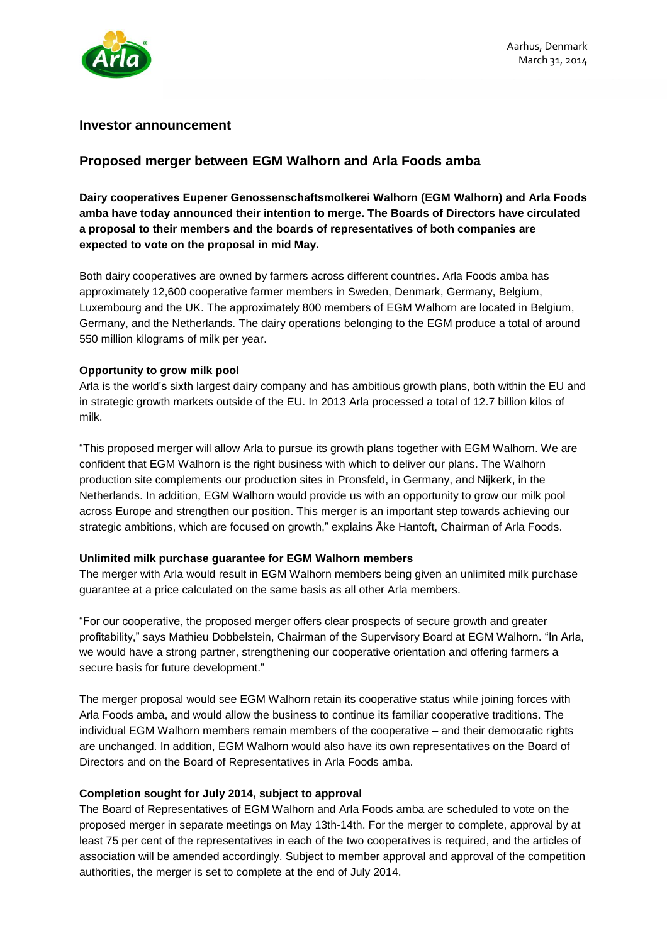

## **Investor announcement**

# **Proposed merger between EGM Walhorn and Arla Foods amba**

**Dairy cooperatives Eupener Genossenschaftsmolkerei Walhorn (EGM Walhorn) and Arla Foods amba have today announced their intention to merge. The Boards of Directors have circulated a proposal to their members and the boards of representatives of both companies are expected to vote on the proposal in mid May.**

Both dairy cooperatives are owned by farmers across different countries. Arla Foods amba has approximately 12,600 cooperative farmer members in Sweden, Denmark, Germany, Belgium, Luxembourg and the UK. The approximately 800 members of EGM Walhorn are located in Belgium, Germany, and the Netherlands. The dairy operations belonging to the EGM produce a total of around 550 million kilograms of milk per year.

### **Opportunity to grow milk pool**

Arla is the world's sixth largest dairy company and has ambitious growth plans, both within the EU and in strategic growth markets outside of the EU. In 2013 Arla processed a total of 12.7 billion kilos of milk.

"This proposed merger will allow Arla to pursue its growth plans together with EGM Walhorn. We are confident that EGM Walhorn is the right business with which to deliver our plans. The Walhorn production site complements our production sites in Pronsfeld, in Germany, and Nijkerk, in the Netherlands. In addition, EGM Walhorn would provide us with an opportunity to grow our milk pool across Europe and strengthen our position. This merger is an important step towards achieving our strategic ambitions, which are focused on growth," explains Åke Hantoft, Chairman of Arla Foods.

### **Unlimited milk purchase guarantee for EGM Walhorn members**

The merger with Arla would result in EGM Walhorn members being given an unlimited milk purchase guarantee at a price calculated on the same basis as all other Arla members.

"For our cooperative, the proposed merger offers clear prospects of secure growth and greater profitability," says Mathieu Dobbelstein, Chairman of the Supervisory Board at EGM Walhorn. "In Arla, we would have a strong partner, strengthening our cooperative orientation and offering farmers a secure basis for future development."

The merger proposal would see EGM Walhorn retain its cooperative status while joining forces with Arla Foods amba, and would allow the business to continue its familiar cooperative traditions. The individual EGM Walhorn members remain members of the cooperative – and their democratic rights are unchanged. In addition, EGM Walhorn would also have its own representatives on the Board of Directors and on the Board of Representatives in Arla Foods amba.

### **Completion sought for July 2014, subject to approval**

The Board of Representatives of EGM Walhorn and Arla Foods amba are scheduled to vote on the proposed merger in separate meetings on May 13th-14th. For the merger to complete, approval by at least 75 per cent of the representatives in each of the two cooperatives is required, and the articles of association will be amended accordingly. Subject to member approval and approval of the competition authorities, the merger is set to complete at the end of July 2014.